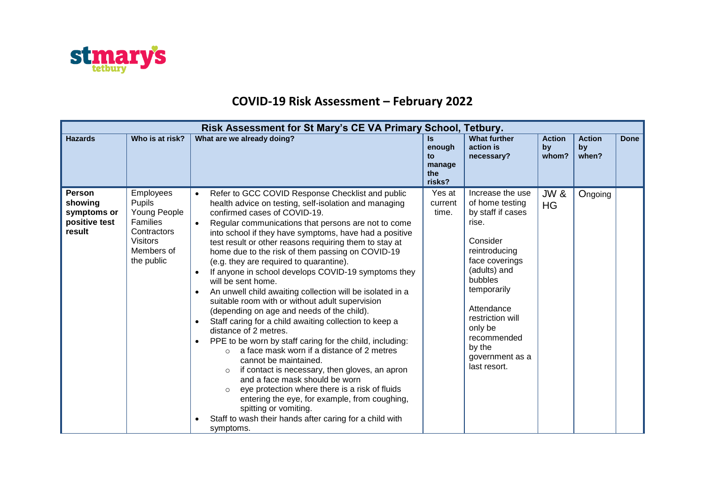

## **COVID-19 Risk Assessment – February 2022**

| Risk Assessment for St Mary's CE VA Primary School, Tetbury.       |                                                                                                                      |                                                                                                                                                                                                                                                                                                                                                                                                                                                                                                                                                                                                                                                                                                                                                                                                                                                                                                                                                                                                                                                                                                                                                                                                                                                                       |                                                      |                                                                                                                                                                                                                                                                     |                              |                              |             |  |
|--------------------------------------------------------------------|----------------------------------------------------------------------------------------------------------------------|-----------------------------------------------------------------------------------------------------------------------------------------------------------------------------------------------------------------------------------------------------------------------------------------------------------------------------------------------------------------------------------------------------------------------------------------------------------------------------------------------------------------------------------------------------------------------------------------------------------------------------------------------------------------------------------------------------------------------------------------------------------------------------------------------------------------------------------------------------------------------------------------------------------------------------------------------------------------------------------------------------------------------------------------------------------------------------------------------------------------------------------------------------------------------------------------------------------------------------------------------------------------------|------------------------------------------------------|---------------------------------------------------------------------------------------------------------------------------------------------------------------------------------------------------------------------------------------------------------------------|------------------------------|------------------------------|-------------|--|
| <b>Hazards</b>                                                     | Who is at risk?                                                                                                      | What are we already doing?                                                                                                                                                                                                                                                                                                                                                                                                                                                                                                                                                                                                                                                                                                                                                                                                                                                                                                                                                                                                                                                                                                                                                                                                                                            | <b>Is</b><br>enough<br>to<br>manage<br>the<br>risks? | <b>What further</b><br>action is<br>necessary?                                                                                                                                                                                                                      | <b>Action</b><br>by<br>whom? | <b>Action</b><br>by<br>when? | <b>Done</b> |  |
| <b>Person</b><br>showing<br>symptoms or<br>positive test<br>result | <b>Employees</b><br>Pupils<br>Young People<br>Families<br>Contractors<br><b>Visitors</b><br>Members of<br>the public | Refer to GCC COVID Response Checklist and public<br>$\bullet$<br>health advice on testing, self-isolation and managing<br>confirmed cases of COVID-19.<br>Regular communications that persons are not to come<br>$\bullet$<br>into school if they have symptoms, have had a positive<br>test result or other reasons requiring them to stay at<br>home due to the risk of them passing on COVID-19<br>(e.g. they are required to quarantine).<br>If anyone in school develops COVID-19 symptoms they<br>$\bullet$<br>will be sent home.<br>An unwell child awaiting collection will be isolated in a<br>suitable room with or without adult supervision<br>(depending on age and needs of the child).<br>Staff caring for a child awaiting collection to keep a<br>$\bullet$<br>distance of 2 metres.<br>PPE to be worn by staff caring for the child, including:<br>$\bullet$<br>a face mask worn if a distance of 2 metres<br>cannot be maintained.<br>if contact is necessary, then gloves, an apron<br>$\circ$<br>and a face mask should be worn<br>eye protection where there is a risk of fluids<br>entering the eye, for example, from coughing,<br>spitting or vomiting.<br>Staff to wash their hands after caring for a child with<br>$\bullet$<br>symptoms. | Yes at<br>current<br>time.                           | Increase the use<br>of home testing<br>by staff if cases<br>rise.<br>Consider<br>reintroducing<br>face coverings<br>(adults) and<br>bubbles<br>temporarily<br>Attendance<br>restriction will<br>only be<br>recommended<br>by the<br>government as a<br>last resort. | <b>JW &amp;</b><br><b>HG</b> | Ongoing                      |             |  |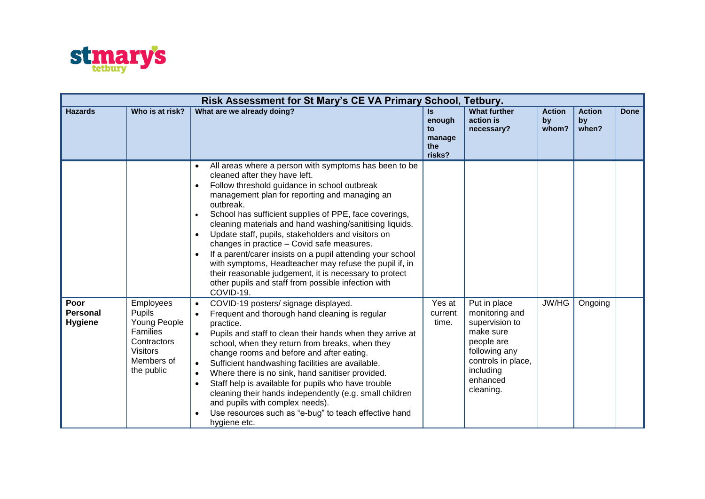

|                                           | Risk Assessment for St Mary's CE VA Primary School, Tetbury.                                                         |                                                                                                                                                                                                                                                                                                                                                                                                                                                                                                                                                                                                                                                                                                                                                      |                                                      |                                                                                                                                                          |                              |                              |             |  |  |
|-------------------------------------------|----------------------------------------------------------------------------------------------------------------------|------------------------------------------------------------------------------------------------------------------------------------------------------------------------------------------------------------------------------------------------------------------------------------------------------------------------------------------------------------------------------------------------------------------------------------------------------------------------------------------------------------------------------------------------------------------------------------------------------------------------------------------------------------------------------------------------------------------------------------------------------|------------------------------------------------------|----------------------------------------------------------------------------------------------------------------------------------------------------------|------------------------------|------------------------------|-------------|--|--|
| <b>Hazards</b>                            | Who is at risk?                                                                                                      | What are we already doing?                                                                                                                                                                                                                                                                                                                                                                                                                                                                                                                                                                                                                                                                                                                           | <b>Is</b><br>enough<br>to<br>manage<br>the<br>risks? | <b>What further</b><br>action is<br>necessary?                                                                                                           | <b>Action</b><br>by<br>whom? | <b>Action</b><br>by<br>when? | <b>Done</b> |  |  |
|                                           |                                                                                                                      | All areas where a person with symptoms has been to be<br>$\bullet$<br>cleaned after they have left.<br>Follow threshold guidance in school outbreak<br>$\bullet$<br>management plan for reporting and managing an<br>outbreak.<br>School has sufficient supplies of PPE, face coverings,<br>$\bullet$<br>cleaning materials and hand washing/sanitising liquids.<br>Update staff, pupils, stakeholders and visitors on<br>$\bullet$<br>changes in practice - Covid safe measures.<br>If a parent/carer insists on a pupil attending your school<br>$\bullet$<br>with symptoms, Headteacher may refuse the pupil if, in<br>their reasonable judgement, it is necessary to protect<br>other pupils and staff from possible infection with<br>COVID-19. |                                                      |                                                                                                                                                          |                              |                              |             |  |  |
| Poor<br><b>Personal</b><br><b>Hygiene</b> | Employees<br><b>Pupils</b><br>Young People<br>Families<br>Contractors<br><b>Visitors</b><br>Members of<br>the public | COVID-19 posters/ signage displayed.<br>$\bullet$<br>Frequent and thorough hand cleaning is regular<br>$\bullet$<br>practice.<br>Pupils and staff to clean their hands when they arrive at<br>school, when they return from breaks, when they<br>change rooms and before and after eating.<br>Sufficient handwashing facilities are available.<br>$\bullet$<br>Where there is no sink, hand sanitiser provided.<br>$\bullet$<br>Staff help is available for pupils who have trouble<br>$\bullet$<br>cleaning their hands independently (e.g. small children<br>and pupils with complex needs).<br>Use resources such as "e-bug" to teach effective hand<br>$\bullet$<br>hygiene etc.                                                                 | Yes at<br>current<br>time.                           | Put in place<br>monitoring and<br>supervision to<br>make sure<br>people are<br>following any<br>controls in place,<br>including<br>enhanced<br>cleaning. | JW/HG                        | Ongoing                      |             |  |  |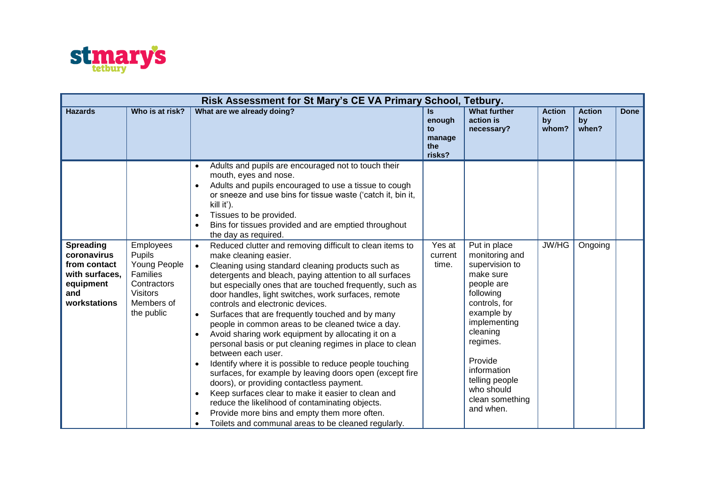

| Risk Assessment for St Mary's CE VA Primary School, Tetbury.                                          |                                                                                                                      |                                                                                                                                                                                                                                                                                                                                                                                                                                                                                                                                                                                                                                                                                                                                                                                                                                                                                                                                                                                                                                                                                                       |                                                      |                                                                                                                                                                                                                                                           |                              |                              |             |  |
|-------------------------------------------------------------------------------------------------------|----------------------------------------------------------------------------------------------------------------------|-------------------------------------------------------------------------------------------------------------------------------------------------------------------------------------------------------------------------------------------------------------------------------------------------------------------------------------------------------------------------------------------------------------------------------------------------------------------------------------------------------------------------------------------------------------------------------------------------------------------------------------------------------------------------------------------------------------------------------------------------------------------------------------------------------------------------------------------------------------------------------------------------------------------------------------------------------------------------------------------------------------------------------------------------------------------------------------------------------|------------------------------------------------------|-----------------------------------------------------------------------------------------------------------------------------------------------------------------------------------------------------------------------------------------------------------|------------------------------|------------------------------|-------------|--|
| <b>Hazards</b>                                                                                        | Who is at risk?                                                                                                      | What are we already doing?                                                                                                                                                                                                                                                                                                                                                                                                                                                                                                                                                                                                                                                                                                                                                                                                                                                                                                                                                                                                                                                                            | <b>Is</b><br>enough<br>to<br>manage<br>the<br>risks? | <b>What further</b><br>action is<br>necessary?                                                                                                                                                                                                            | <b>Action</b><br>by<br>whom? | <b>Action</b><br>by<br>when? | <b>Done</b> |  |
|                                                                                                       |                                                                                                                      | Adults and pupils are encouraged not to touch their<br>$\bullet$<br>mouth, eyes and nose.<br>Adults and pupils encouraged to use a tissue to cough<br>$\bullet$<br>or sneeze and use bins for tissue waste ('catch it, bin it,<br>kill it').<br>Tissues to be provided.<br>$\bullet$<br>Bins for tissues provided and are emptied throughout<br>$\bullet$<br>the day as required.                                                                                                                                                                                                                                                                                                                                                                                                                                                                                                                                                                                                                                                                                                                     |                                                      |                                                                                                                                                                                                                                                           |                              |                              |             |  |
| <b>Spreading</b><br>coronavirus<br>from contact<br>with surfaces,<br>equipment<br>and<br>workstations | <b>Employees</b><br>Pupils<br>Young People<br>Families<br>Contractors<br><b>Visitors</b><br>Members of<br>the public | Reduced clutter and removing difficult to clean items to<br>$\bullet$<br>make cleaning easier.<br>Cleaning using standard cleaning products such as<br>$\bullet$<br>detergents and bleach, paying attention to all surfaces<br>but especially ones that are touched frequently, such as<br>door handles, light switches, work surfaces, remote<br>controls and electronic devices.<br>Surfaces that are frequently touched and by many<br>$\bullet$<br>people in common areas to be cleaned twice a day.<br>Avoid sharing work equipment by allocating it on a<br>$\bullet$<br>personal basis or put cleaning regimes in place to clean<br>between each user.<br>Identify where it is possible to reduce people touching<br>$\bullet$<br>surfaces, for example by leaving doors open (except fire<br>doors), or providing contactless payment.<br>Keep surfaces clear to make it easier to clean and<br>$\bullet$<br>reduce the likelihood of contaminating objects.<br>Provide more bins and empty them more often.<br>$\bullet$<br>Toilets and communal areas to be cleaned regularly.<br>$\bullet$ | Yes at<br>current<br>time.                           | Put in place<br>monitoring and<br>supervision to<br>make sure<br>people are<br>following<br>controls, for<br>example by<br>implementing<br>cleaning<br>regimes.<br>Provide<br>information<br>telling people<br>who should<br>clean something<br>and when. | JW/HG                        | Ongoing                      |             |  |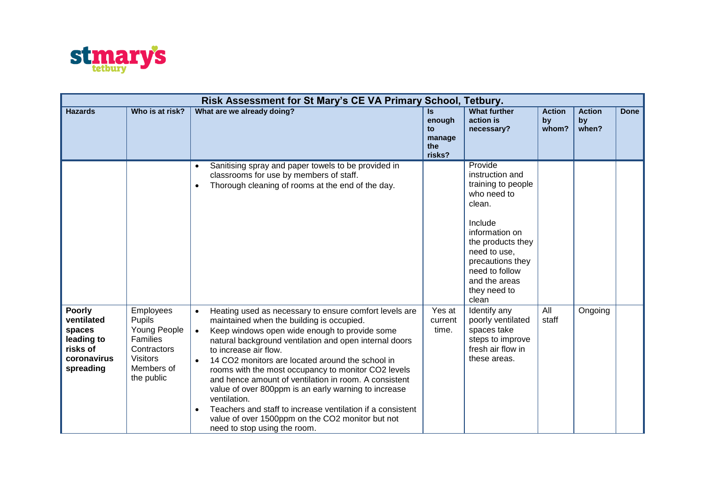

|                                                                                             | Risk Assessment for St Mary's CE VA Primary School, Tetbury.                                                  |                                                                                                                                                                                                                                                                                                                                                                                                                                                                                                                                                                                                                                                                                           |                                                |                                                                                                                                                                                                                             |                              |                              |             |  |
|---------------------------------------------------------------------------------------------|---------------------------------------------------------------------------------------------------------------|-------------------------------------------------------------------------------------------------------------------------------------------------------------------------------------------------------------------------------------------------------------------------------------------------------------------------------------------------------------------------------------------------------------------------------------------------------------------------------------------------------------------------------------------------------------------------------------------------------------------------------------------------------------------------------------------|------------------------------------------------|-----------------------------------------------------------------------------------------------------------------------------------------------------------------------------------------------------------------------------|------------------------------|------------------------------|-------------|--|
| <b>Hazards</b>                                                                              | Who is at risk?                                                                                               | What are we already doing?                                                                                                                                                                                                                                                                                                                                                                                                                                                                                                                                                                                                                                                                | Is.<br>enough<br>to<br>manage<br>the<br>risks? | <b>What further</b><br>action is<br>necessary?                                                                                                                                                                              | <b>Action</b><br>by<br>whom? | <b>Action</b><br>by<br>when? | <b>Done</b> |  |
|                                                                                             |                                                                                                               | Sanitising spray and paper towels to be provided in<br>classrooms for use by members of staff.<br>Thorough cleaning of rooms at the end of the day.<br>$\bullet$                                                                                                                                                                                                                                                                                                                                                                                                                                                                                                                          |                                                | Provide<br>instruction and<br>training to people<br>who need to<br>clean.<br>Include<br>information on<br>the products they<br>need to use,<br>precautions they<br>need to follow<br>and the areas<br>they need to<br>clean |                              |                              |             |  |
| <b>Poorly</b><br>ventilated<br>spaces<br>leading to<br>risks of<br>coronavirus<br>spreading | Employees<br>Pupils<br>Young People<br>Families<br>Contractors<br><b>Visitors</b><br>Members of<br>the public | Heating used as necessary to ensure comfort levels are<br>$\bullet$<br>maintained when the building is occupied.<br>Keep windows open wide enough to provide some<br>$\bullet$<br>natural background ventilation and open internal doors<br>to increase air flow.<br>14 CO2 monitors are located around the school in<br>$\bullet$<br>rooms with the most occupancy to monitor CO2 levels<br>and hence amount of ventilation in room. A consistent<br>value of over 800ppm is an early warning to increase<br>ventilation.<br>Teachers and staff to increase ventilation if a consistent<br>$\bullet$<br>value of over 1500ppm on the CO2 monitor but not<br>need to stop using the room. | Yes at<br>current<br>time.                     | Identify any<br>poorly ventilated<br>spaces take<br>steps to improve<br>fresh air flow in<br>these areas.                                                                                                                   | All<br>staff                 | Ongoing                      |             |  |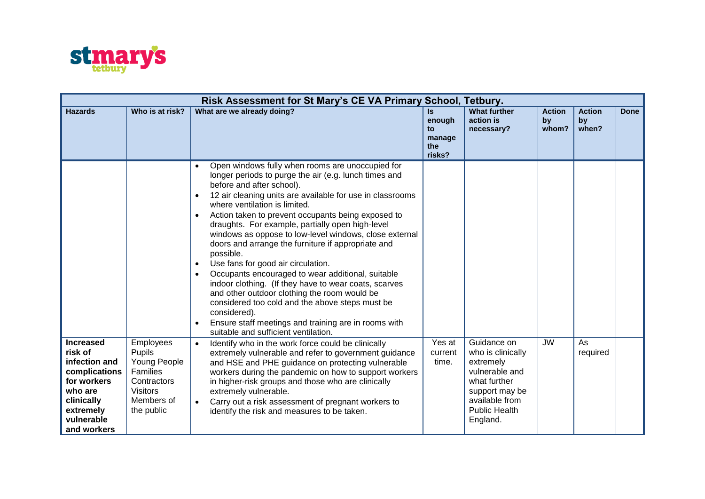

|                                                                                                                                                 | Risk Assessment for St Mary's CE VA Primary School, Tetbury.                                                  |                                                                                                                                                                                                                                                                                                                                                                                                                                                                                                                                                                                                                                                                                                                                                                                                                                                                                                                                  |                                                      |                                                                                                                                                         |                              |                              |             |  |
|-------------------------------------------------------------------------------------------------------------------------------------------------|---------------------------------------------------------------------------------------------------------------|----------------------------------------------------------------------------------------------------------------------------------------------------------------------------------------------------------------------------------------------------------------------------------------------------------------------------------------------------------------------------------------------------------------------------------------------------------------------------------------------------------------------------------------------------------------------------------------------------------------------------------------------------------------------------------------------------------------------------------------------------------------------------------------------------------------------------------------------------------------------------------------------------------------------------------|------------------------------------------------------|---------------------------------------------------------------------------------------------------------------------------------------------------------|------------------------------|------------------------------|-------------|--|
| <b>Hazards</b>                                                                                                                                  | Who is at risk?                                                                                               | What are we already doing?                                                                                                                                                                                                                                                                                                                                                                                                                                                                                                                                                                                                                                                                                                                                                                                                                                                                                                       | <b>Is</b><br>enough<br>to<br>manage<br>the<br>risks? | <b>What further</b><br>action is<br>necessary?                                                                                                          | <b>Action</b><br>by<br>whom? | <b>Action</b><br>by<br>when? | <b>Done</b> |  |
|                                                                                                                                                 |                                                                                                               | Open windows fully when rooms are unoccupied for<br>$\bullet$<br>longer periods to purge the air (e.g. lunch times and<br>before and after school).<br>12 air cleaning units are available for use in classrooms<br>$\bullet$<br>where ventilation is limited.<br>Action taken to prevent occupants being exposed to<br>$\bullet$<br>draughts. For example, partially open high-level<br>windows as oppose to low-level windows, close external<br>doors and arrange the furniture if appropriate and<br>possible.<br>Use fans for good air circulation.<br>$\bullet$<br>Occupants encouraged to wear additional, suitable<br>$\bullet$<br>indoor clothing. (If they have to wear coats, scarves<br>and other outdoor clothing the room would be<br>considered too cold and the above steps must be<br>considered).<br>Ensure staff meetings and training are in rooms with<br>$\bullet$<br>suitable and sufficient ventilation. |                                                      |                                                                                                                                                         |                              |                              |             |  |
| <b>Increased</b><br>risk of<br>infection and<br>complications<br>for workers<br>who are<br>clinically<br>extremely<br>vulnerable<br>and workers | Employees<br>Pupils<br>Young People<br>Families<br>Contractors<br><b>Visitors</b><br>Members of<br>the public | Identify who in the work force could be clinically<br>$\bullet$<br>extremely vulnerable and refer to government guidance<br>and HSE and PHE guidance on protecting vulnerable<br>workers during the pandemic on how to support workers<br>in higher-risk groups and those who are clinically<br>extremely vulnerable.<br>Carry out a risk assessment of pregnant workers to<br>$\bullet$<br>identify the risk and measures to be taken.                                                                                                                                                                                                                                                                                                                                                                                                                                                                                          | Yes at<br>current<br>time.                           | Guidance on<br>who is clinically<br>extremely<br>vulnerable and<br>what further<br>support may be<br>available from<br><b>Public Health</b><br>England. | <b>JW</b>                    | As<br>required               |             |  |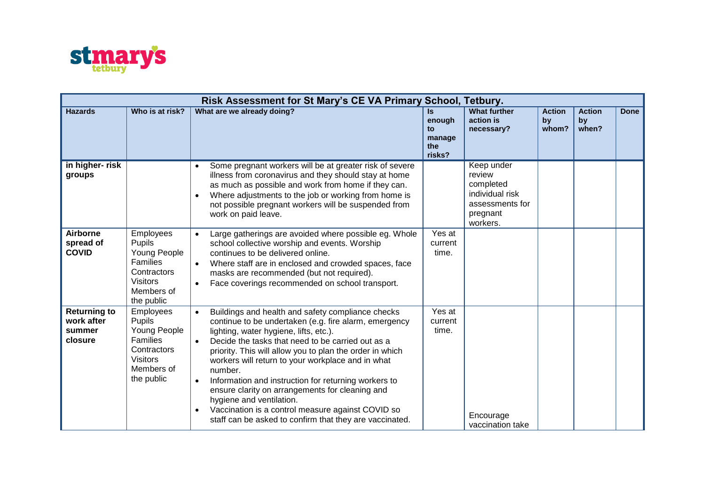

| Risk Assessment for St Mary's CE VA Primary School, Tetbury. |                                                                                                               |                                                                                                                                                                                                                                                                                                                                                                                                                                                                                                                                                                                                                                     |                                                      |                                                                                                 |                              |                              |             |  |
|--------------------------------------------------------------|---------------------------------------------------------------------------------------------------------------|-------------------------------------------------------------------------------------------------------------------------------------------------------------------------------------------------------------------------------------------------------------------------------------------------------------------------------------------------------------------------------------------------------------------------------------------------------------------------------------------------------------------------------------------------------------------------------------------------------------------------------------|------------------------------------------------------|-------------------------------------------------------------------------------------------------|------------------------------|------------------------------|-------------|--|
| <b>Hazards</b>                                               | Who is at risk?                                                                                               | What are we already doing?                                                                                                                                                                                                                                                                                                                                                                                                                                                                                                                                                                                                          | <b>Is</b><br>enough<br>to<br>manage<br>the<br>risks? | <b>What further</b><br>action is<br>necessary?                                                  | <b>Action</b><br>by<br>whom? | <b>Action</b><br>by<br>when? | <b>Done</b> |  |
| in higher-risk<br>groups                                     |                                                                                                               | Some pregnant workers will be at greater risk of severe<br>$\bullet$<br>illness from coronavirus and they should stay at home<br>as much as possible and work from home if they can.<br>Where adjustments to the job or working from home is<br>$\bullet$<br>not possible pregnant workers will be suspended from<br>work on paid leave.                                                                                                                                                                                                                                                                                            |                                                      | Keep under<br>review<br>completed<br>individual risk<br>assessments for<br>pregnant<br>workers. |                              |                              |             |  |
| <b>Airborne</b><br>spread of<br><b>COVID</b>                 | Employees<br>Pupils<br>Young People<br>Families<br>Contractors<br><b>Visitors</b><br>Members of<br>the public | Large gatherings are avoided where possible eg. Whole<br>$\bullet$<br>school collective worship and events. Worship<br>continues to be delivered online.<br>Where staff are in enclosed and crowded spaces, face<br>$\bullet$<br>masks are recommended (but not required).<br>Face coverings recommended on school transport.<br>$\bullet$                                                                                                                                                                                                                                                                                          | Yes at<br>current<br>time.                           |                                                                                                 |                              |                              |             |  |
| <b>Returning to</b><br>work after<br>summer<br>closure       | Employees<br>Pupils<br>Young People<br>Families<br>Contractors<br><b>Visitors</b><br>Members of<br>the public | Buildings and health and safety compliance checks<br>$\bullet$<br>continue to be undertaken (e.g. fire alarm, emergency<br>lighting, water hygiene, lifts, etc.).<br>Decide the tasks that need to be carried out as a<br>priority. This will allow you to plan the order in which<br>workers will return to your workplace and in what<br>number.<br>Information and instruction for returning workers to<br>$\bullet$<br>ensure clarity on arrangements for cleaning and<br>hygiene and ventilation.<br>Vaccination is a control measure against COVID so<br>$\bullet$<br>staff can be asked to confirm that they are vaccinated. | Yes at<br>current<br>time.                           | Encourage<br>vaccination take                                                                   |                              |                              |             |  |